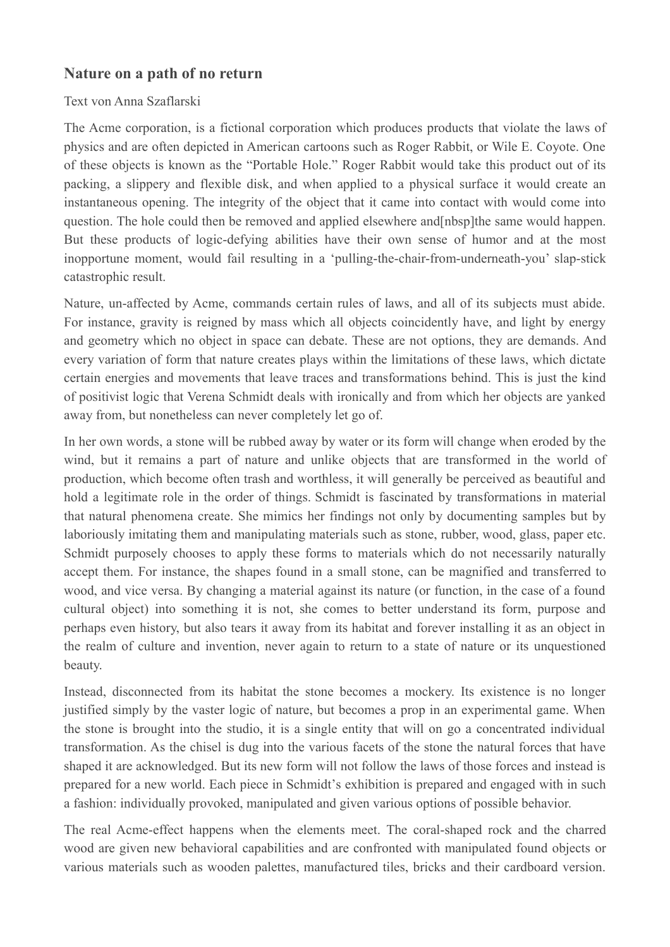## **Nature on a path of no return**

## Text von Anna Szaflarski

The Acme corporation, is a fictional corporation which produces products that violate the laws of physics and are often depicted in American cartoons such as Roger Rabbit, or Wile E. Coyote. One of these objects is known as the "Portable Hole." Roger Rabbit would take this product out of its packing, a slippery and flexible disk, and when applied to a physical surface it would create an instantaneous opening. The integrity of the object that it came into contact with would come into question. The hole could then be removed and applied elsewhere and[nbsp]the same would happen. But these products of logic-defying abilities have their own sense of humor and at the most inopportune moment, would fail resulting in a 'pulling-the-chair-from-underneath-you' slap-stick catastrophic result.

Nature, un-affected by Acme, commands certain rules of laws, and all of its subjects must abide. For instance, gravity is reigned by mass which all objects coincidently have, and light by energy and geometry which no object in space can debate. These are not options, they are demands. And every variation of form that nature creates plays within the limitations of these laws, which dictate certain energies and movements that leave traces and transformations behind. This is just the kind of positivist logic that Verena Schmidt deals with ironically and from which her objects are yanked away from, but nonetheless can never completely let go of.

In her own words, a stone will be rubbed away by water or its form will change when eroded by the wind, but it remains a part of nature and unlike objects that are transformed in the world of production, which become often trash and worthless, it will generally be perceived as beautiful and hold a legitimate role in the order of things. Schmidt is fascinated by transformations in material that natural phenomena create. She mimics her findings not only by documenting samples but by laboriously imitating them and manipulating materials such as stone, rubber, wood, glass, paper etc. Schmidt purposely chooses to apply these forms to materials which do not necessarily naturally accept them. For instance, the shapes found in a small stone, can be magnified and transferred to wood, and vice versa. By changing a material against its nature (or function, in the case of a found cultural object) into something it is not, she comes to better understand its form, purpose and perhaps even history, but also tears it away from its habitat and forever installing it as an object in the realm of culture and invention, never again to return to a state of nature or its unquestioned beauty.

Instead, disconnected from its habitat the stone becomes a mockery. Its existence is no longer justified simply by the vaster logic of nature, but becomes a prop in an experimental game. When the stone is brought into the studio, it is a single entity that will on go a concentrated individual transformation. As the chisel is dug into the various facets of the stone the natural forces that have shaped it are acknowledged. But its new form will not follow the laws of those forces and instead is prepared for a new world. Each piece in Schmidt's exhibition is prepared and engaged with in such a fashion: individually provoked, manipulated and given various options of possible behavior.

The real Acme-effect happens when the elements meet. The coral-shaped rock and the charred wood are given new behavioral capabilities and are confronted with manipulated found objects or various materials such as wooden palettes, manufactured tiles, bricks and their cardboard version.